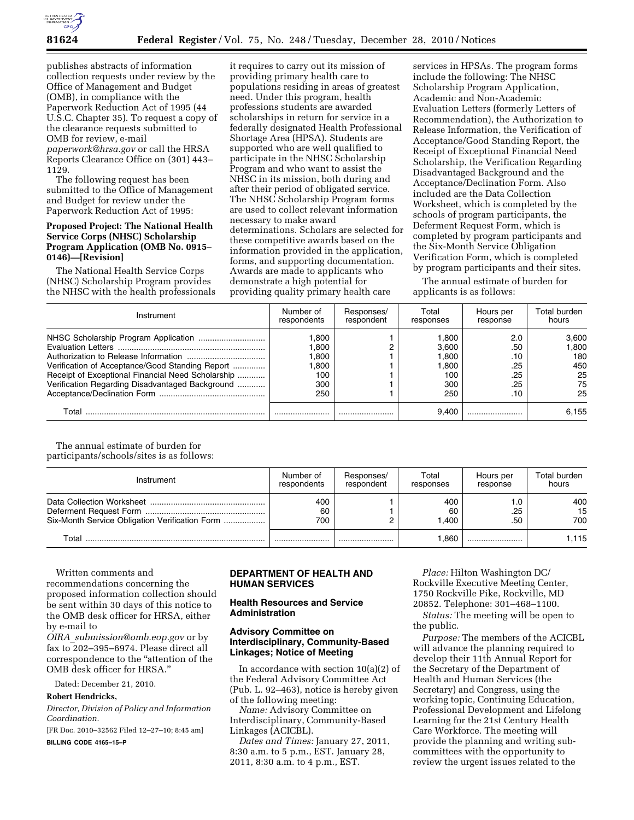

publishes abstracts of information collection requests under review by the Office of Management and Budget (OMB), in compliance with the Paperwork Reduction Act of 1995 (44 U.S.C. Chapter 35). To request a copy of the clearance requests submitted to OMB for review, e-mail *[paperwork@hrsa.gov](mailto:paperwork@hrsa.gov)* or call the HRSA Reports Clearance Office on (301) 443– 1129.

The following request has been submitted to the Office of Management and Budget for review under the Paperwork Reduction Act of 1995:

## **Proposed Project: The National Health Service Corps (NHSC) Scholarship Program Application (OMB No. 0915– 0146)—[Revision]**

The National Health Service Corps (NHSC) Scholarship Program provides the NHSC with the health professionals

it requires to carry out its mission of providing primary health care to populations residing in areas of greatest need. Under this program, health professions students are awarded scholarships in return for service in a federally designated Health Professional Shortage Area (HPSA). Students are supported who are well qualified to participate in the NHSC Scholarship Program and who want to assist the NHSC in its mission, both during and after their period of obligated service. The NHSC Scholarship Program forms are used to collect relevant information necessary to make award determinations. Scholars are selected for these competitive awards based on the information provided in the application, forms, and supporting documentation. Awards are made to applicants who demonstrate a high potential for providing quality primary health care

services in HPSAs. The program forms include the following: The NHSC Scholarship Program Application, Academic and Non-Academic Evaluation Letters (formerly Letters of Recommendation), the Authorization to Release Information, the Verification of Acceptance/Good Standing Report, the Receipt of Exceptional Financial Need Scholarship, the Verification Regarding Disadvantaged Background and the Acceptance/Declination Form. Also included are the Data Collection Worksheet, which is completed by the schools of program participants, the Deferment Request Form, which is completed by program participants and the Six-Month Service Obligation Verification Form, which is completed by program participants and their sites.

The annual estimate of burden for applicants is as follows:

| Instrument                                        | Number of   | Responses/ | Total     | Hours per | Total burden |
|---------------------------------------------------|-------------|------------|-----------|-----------|--------------|
|                                                   | respondents | respondent | responses | response  | hours        |
|                                                   | .800        |            | 1.800     | 2.0       | 3.600        |
|                                                   | .800        |            | 3.600     | .50       | 800.۱        |
|                                                   | .800        |            | 1.800     | .10       | 180          |
| Verification of Acceptance/Good Standing Report   | .800        |            | .800      | .25       | 450          |
| Receipt of Exceptional Financial Need Scholarship | 100         |            | 100       | .25       | 25           |
| Verification Regarding Disadvantaged Background   | 300         |            | 300       | .25       | 75           |
|                                                   | 250         |            | 250       | .10       | 25           |
| Total                                             |             |            | 9.400     |           | 6.155        |

The annual estimate of burden for participants/schools/sites is as follows:

| Instrument                                     | Number of<br>respondents | Responses/<br>respondent | Total<br>responses | Hours per<br>response | Total burden<br>hours |
|------------------------------------------------|--------------------------|--------------------------|--------------------|-----------------------|-----------------------|
| Six-Month Service Obligation Verification Form | 400<br>60<br>700         |                          | 400<br>60<br>.400  | .25<br>.50            | 400<br>15<br>700      |
| Total                                          |                          |                          | .860               |                       | 1.115                 |

Written comments and recommendations concerning the proposed information collection should be sent within 30 days of this notice to the OMB desk officer for HRSA, either by e-mail to

*OIRA*\_*[submission@omb.eop.gov](mailto:OIRA_submission@omb.eop.gov)* or by fax to 202–395–6974. Please direct all correspondence to the ''attention of the OMB desk officer for HRSA.''

Dated: December 21, 2010.

#### **Robert Hendricks,**

*Director, Division of Policy and Information Coordination.* 

[FR Doc. 2010–32562 Filed 12–27–10; 8:45 am]

**BILLING CODE 4165–15–P** 

# **DEPARTMENT OF HEALTH AND HUMAN SERVICES**

## **Health Resources and Service Administration**

## **Advisory Committee on Interdisciplinary, Community-Based Linkages; Notice of Meeting**

In accordance with section 10(a)(2) of the Federal Advisory Committee Act (Pub. L. 92–463), notice is hereby given of the following meeting:

*Name:* Advisory Committee on Interdisciplinary, Community-Based Linkages (ACICBL).

*Dates and Times:* January 27, 2011, 8:30 a.m. to 5 p.m., EST. January 28, 2011, 8:30 a.m. to 4 p.m., EST.

*Place:* Hilton Washington DC/ Rockville Executive Meeting Center, 1750 Rockville Pike, Rockville, MD 20852. Telephone: 301–468–1100. *Status:* The meeting will be open to

the public.

*Purpose:* The members of the ACICBL will advance the planning required to develop their 11th Annual Report for the Secretary of the Department of Health and Human Services (the Secretary) and Congress, using the working topic, Continuing Education, Professional Development and Lifelong Learning for the 21st Century Health Care Workforce. The meeting will provide the planning and writing subcommittees with the opportunity to review the urgent issues related to the